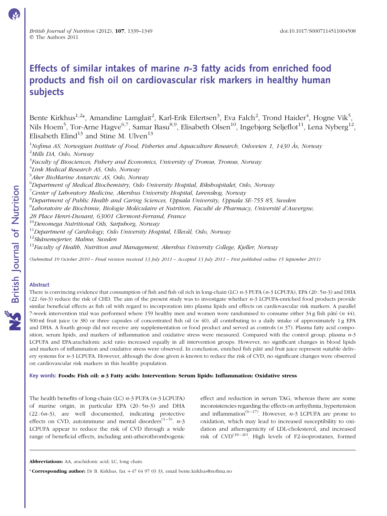# Effects of similar intakes of marine <sup>n</sup>-3 fatty acids from enriched food products and fish oil on cardiovascular risk markers in healthy human subjects

Bente Kirkhus<sup>1,2</sup>\*, Amandine Lamglait<sup>2</sup>, Karl-Erik Eilertsen<sup>3</sup>, Eva Falch<sup>2</sup>, Trond Haider<sup>4</sup>, Hogne Vik<sup>5</sup>, Nils Hoem<sup>5</sup>, Tor-Arne Hagve<sup>6,7</sup>, Samar Basu<sup>8,9</sup>, Elisabeth Olsen<sup>10</sup>, Ingebjørg Seljeflot<sup>11</sup>, Lena Nyberg<sup>12</sup>, Elisabeth Elind<sup>13</sup> and Stine M. Ulven<sup>13</sup>

 $^1$ Nofima AS, Norwegian Institute of Food, Fisheries and Aquaculture Research, Osloveien 1, 1430 Ås, Norway <sup>2</sup>Mills DA, Oslo, Norway  $^3$ Faculty of Biosciences, Fishery and Economics, University of Tromsø, Tromsø, Norway 4 Link Medical Research AS, Oslo, Norway <sup>5</sup> Aker BioMarine Antarctic AS, Oslo, Norway  $^6$ Department of Medical Biochemistry, Oslo University Hospital, Rikshospitalet, Oslo, Norway <sup>7</sup> Center of Laboratory Medicine, Akershus University Hospital, Lørenskog, Norway  $^8$ Department of Public Health and Caring Sciences, Uppsala University, Uppsala SE-755 85, Sweden  $^{9}$ Laboratoire de Biochimie, Biologie Moléculaire et Nutrition, Faculté de Pharmacy, Université d'Auvergne, 28 Place Henri-Dunant, 63001 Clermont-Ferrand, France  $10$ Denomega Nutritional Oils, Sarpsborg, Norway  $11$ Department of Cardiology, Oslo University Hospital, Ullevål, Oslo, Norway <sup>12</sup>Skånemejerier, Malmø, Sweden  $13$ Faculty of Health, Nutrition and Management, Akershus University College, Kieller, Norway

(Submitted 19 October 2010 – Final revision received 13 July 2011 – Accepted 13 July 2011 – First published online 15 September 2011)

# Abstract

There is convincing evidence that consumption of fish and fish oil rich in long-chain (LC)  $n-3$  PUFA ( $n-3$  LCPUFA), EPA (20:5 $n-3$ ) and DHA  $(22:6n-3)$  reduce the risk of CHD. The aim of the present study was to investigate whether  $n-3$  LCPUFA-enriched food products provide similar beneficial effects as fish oil with regard to incorporation into plasma lipids and effects on cardiovascular risk markers. A parallel 7-week intervention trial was performed where 159 healthy men and women were randomised to consume either  $34$ g fish pâté (n 44), 500 ml fruit juice (n 38) or three capsules of concentrated fish oil (n 40), all contributing to a daily intake of approximately 1 g EPA and DHA. A fourth group did not receive any supplementation or food product and served as controls  $(n\,37)$ . Plasma fatty acid composition, serum lipids, and markers of inflammation and oxidative stress were measured. Compared with the control group, plasma n-3 LCPUFA and EPA:arachidonic acid ratio increased equally in all intervention groups. However, no significant changes in blood lipids and markers of inflammation and oxidative stress were observed. In conclusion, enriched fish pâté and fruit juice represent suitable delivery systems for n-3 LCPUFA. However, although the dose given is known to reduce the risk of CVD, no significant changes were observed on cardiovascular risk markers in this healthy population.

#### Key words: Foods: Fish oil: n-3 Fatty acids: Intervention: Serum lipids: Inflammation: Oxidative stress

The health benefits of long-chain (LC)  $n-3$  PUFA ( $n-3$  LCPUFA) of marine origin, in particular EPA  $(20:5n-3)$  and DHA  $(22:6n-3)$ , are well documented, indicating protective effects on CVD, autoimmune and mental disorders<sup>(1-5)</sup>.  $n-3$ LCPUFA appear to reduce the risk of CVD through a wide range of beneficial effects, including anti-atherothrombogenic

effect and reduction in serum TAG, whereas there are some inconsistencies regarding the effects on arrhythmia, hypertension and inflammation<sup>(6–17)</sup>. However, *n*-3 LCPUFA are prone to oxidation, which may lead to increased susceptibility to oxidation and atherogenicity of LDL-cholesterol, and increased risk of  $CVD^{(18-20)}$ . High levels of F2-isoprostanes, formed

Abbreviations: AA, arachidonic acid; LC, long chain.

<sup>\*</sup> Corresponding author: Dr B. Kirkhus, fax  $+47$  64 97 03 33, email bente.kirkhus@nofima.no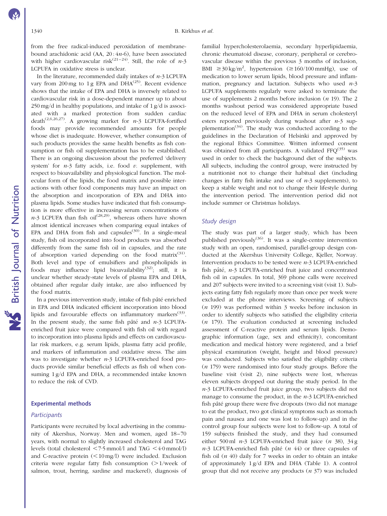from the free radical-induced peroxidation of membranebound arachidonic acid (AA, 20 : 4n-6), have been associated with higher cardiovascular risk<sup>(21–24)</sup>. Still, the role of  $n-3$ LCPUFA in oxidative stress is unclear.

In the literature, recommended daily intakes of  $n-3$  LCPUFA vary from 200 mg to 1 g EPA and DHA<sup>(25)</sup>. Recent evidence shows that the intake of EPA and DHA is inversely related to cardiovascular risk in a dose-dependent manner up to about 250 mg/d in healthy populations, and intake of 1 g/d is associated with a marked protection from sudden cardiac death<sup>(2,6,26,27)</sup>. A growing market for  $n-3$  LCPUFA-fortified foods may provide recommended amounts for people whose diet is inadequate. However, whether consumption of such products provides the same health benefits as fish consumption or fish oil supplementation has to be established. There is an ongoing discussion about the preferred 'delivery system' for  $n-3$  fatty acids, i.e. food v. supplement, with respect to bioavailability and physiological function. The molecular form of the lipids, the food matrix and possible interactions with other food components may have an impact on the absorption and incorporation of EPA and DHA into plasma lipids. Some studies have indicated that fish consumption is more effective in increasing serum concentrations of  $n-3$  LCPUFA than fish oil<sup>(28,29)</sup>, whereas others have shown almost identical increases when comparing equal intakes of EPA and DHA from fish and capsules<sup> $(30)$ </sup>. In a single-meal study, fish oil incorporated into food products was absorbed differently from the same fish oil in capsules, and the rate of absorption varied depending on the food matrix $(31)$ . Both level and type of emulsifiers and phospholipids in foods may influence lipid bioavailability<sup>(32)</sup>; still, it is unclear whether steady-state levels of plasma EPA and DHA, obtained after regular daily intake, are also influenced by the food matrix.

In a previous intervention study, intake of fish pâté enriched in EPA and DHA indicated efficient incorporation into blood lipids and favourable effects on inflammatory markers<sup> $(33)$ </sup>. In the present study, the same fish pâté and  $n-3$  LCPUFAenriched fruit juice were compared with fish oil with regard to incorporation into plasma lipids and effects on cardiovascular risk markers, e.g. serum lipids, plasma fatty acid profile, and markers of inflammation and oxidative stress. The aim was to investigate whether  $n-3$  LCPUFA-enriched food products provide similar beneficial effects as fish oil when consuming 1 g/d EPA and DHA, a recommended intake known to reduce the risk of CVD.

#### Experimental methods

#### **Participants**

Participants were recruited by local advertising in the community of Akershus, Norway. Men and women, aged 18–70 years, with normal to slightly increased cholesterol and TAG levels (total cholesterol  $\leq$ 7·5 mmol/l and TAG  $\leq$ 4·0 mmol/l) and C-reactive protein  $(<10 \,\text{mg/l})$  were included. Exclusion criteria were regular fatty fish consumption  $(>1$ /week of salmon, trout, herring, sardine and mackerel), diagnosis of

familial hypercholesterolaemia, secondary hyperlipidaemia, chronic rheumatoid disease, coronary, peripheral or cerebrovascular disease within the previous 3 months of inclusion, BMI  $\geq 30 \text{ kg/m}^2$ , hypertension ( $\geq 160/100 \text{ mmHg}$ ), use of medication to lower serum lipids, blood pressure and inflammation, pregnancy and lactation. Subjects who used  $n-3$ LCPUFA supplements regularly were asked to terminate the use of supplements 2 months before inclusion  $(n 19)$ . The 2 months washout period was considered appropriate based on the reduced level of EPA and DHA in serum cholesteryl esters reported previously during washout after  $n-3$  supplementation<sup> $(34)$ </sup>. The study was conducted according to the guidelines in the Declaration of Helsinki and approved by the regional Ethics Committee. Written informed consent was obtained from all participants. A validated  $FFQ^{(35)}$  was used in order to check the background diet of the subjects. All subjects, including the control group, were instructed by a nutritionist not to change their habitual diet (including changes in fatty fish intake and use of  $n-3$  supplements), to keep a stable weight and not to change their lifestyle during the intervention period. The intervention period did not include summer or Christmas holidays.

#### Study design

The study was part of a larger study, which has been published previously $(36)$ . It was a single-centre intervention study with an open, randomised, parallel-group design conducted at the Akershus University College, Kjeller, Norway. Intervention products to be tested were  $n-3$  LCPUFA-enriched fish pâté,  $n-3$  LCPUFA-enriched fruit juice and concentrated fish oil in capsules. In total, 369 phone calls were received and 207 subjects were invited to a screening visit (visit 1). Subjects eating fatty fish regularly more than once per week were excluded at the phone interviews. Screening of subjects (n 199) was performed within 3 weeks before inclusion in order to identify subjects who satisfied the eligibility criteria  $(n$  179). The evaluation conducted at screening included assessment of C-reactive protein and serum lipids. Demographic information (age, sex and ethnicity), concomitant medication and medical history were registered, and a brief physical examination (weight, height and blood pressure) was conducted. Subjects who satisfied the eligibility criteria  $(n 179)$  were randomised into four study groups. Before the baseline visit (visit 2), nine subjects were lost, whereas eleven subjects dropped out during the study period. In the  $n-3$  LCPUFA-enriched fruit juice group, two subjects did not manage to consume the product, in the  $n-3$  LCPUFA-enriched fish pâté group there were five dropouts (two did not manage to eat the product, two got clinical symptoms such as stomach pain and nausea and one was lost to follow-up) and in the control group four subjects were lost to follow-up. A total of 159 subjects finished the study, and they had consumed either 500 ml  $n-3$  LCPUFA-enriched fruit juice (n 38), 34 g  $n-3$  LCPUFA-enriched fish pâté ( $n/44$ ) or three capsules of fish oil  $(n 40)$  daily for 7 weeks in order to obtain an intake of approximately 1 g/d EPA and DHA [\(Table 1](#page-2-0)). A control group that did not receive any products  $(n 37)$  was included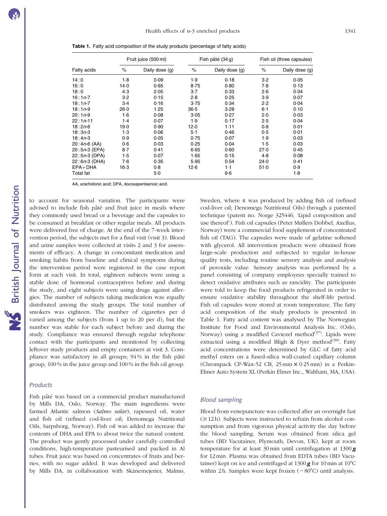|                 |       | Fruit juice (500 ml) |         | Fish pâté (34 g) | Fish oil (three capsules) |                |  |
|-----------------|-------|----------------------|---------|------------------|---------------------------|----------------|--|
| Fatty acids     | $\%$  | Daily dose (g)       | $\%$    | Daily dose (g)   | $\%$                      | Daily dose (g) |  |
| 14:0            | $1-8$ | 0.09                 | 1.9     | 0.18             | 3.2                       | 0.05           |  |
| 16:0            | 14.0  | 0.65                 | 8.75    | 0.80             | 7.8                       | 0.13           |  |
| 18:0            | 4.3   | 2.05                 | $3-7$   | 0.33             | 2.6                       | 0.04           |  |
| $16:1n-7$       | $3-2$ | 0.15                 | 2.8     | 0.25             | 3.9                       | 0.07           |  |
| $18:1n-7$       | $3-4$ | 0.16                 | 3.75    | 0.34             | 2.2                       | 0.04           |  |
| $18:1n-9$       | 26.0  | 1.25                 | 36.5    | 3.28             | $6 - 1$                   | 0.10           |  |
| $20:1n-9$       | 1·6   | 0.08                 | 3.05    | 0.27             | 2.0                       | 0.03           |  |
| $22:1n-11$      | 1.4   | 0.07                 | 1.9     | 0.17             | 2.5                       | 0.04           |  |
| $18:2n-6$       | 19.0  | 0.90                 | 12.0    | $1-11$           | 0.8                       | 0.01           |  |
| $18:3n-3$       | 1.3   | 0.06                 | $5 - 1$ | 0.46             | 0.5                       | 0.01           |  |
| $18:4n-3$       | 0.9   | 0.05                 | 0.75    | 0.07             | 1.9                       | 0.03           |  |
| $20:4n-6$ (AA)  | 0.6   | 0.03                 | 0.25    | 0.04             | 1.5                       | 0.03           |  |
| $20:5n-3$ (EPA) | $8-7$ | 0.41                 | 6.65    | 0.60             | 27.0                      | 0.45           |  |
| $22:5n-3$ (DPA) | 1.5   | 0.07                 | 1.65    | 0.15             | 4.8                       | 0.08           |  |
| $22:6n-3$ (DHA) | 7.6   | 0.35                 | 5.95    | 0.54             | 24.0                      | 0.41           |  |
| $EPA+DHA$       | 16.3  | 0.8                  | $12-6$  | $1-1$            | 51.0                      | 0.9            |  |
| Total fat       |       | $5-0$                |         | $9-6$            |                           | $1-8$          |  |

<span id="page-2-0"></span>

|  |  |  |  |  |  |  | <b>Table 1.</b> Fatty acid composition of the study products (percentage of fatty acids) |  |  |  |
|--|--|--|--|--|--|--|------------------------------------------------------------------------------------------|--|--|--|
|--|--|--|--|--|--|--|------------------------------------------------------------------------------------------|--|--|--|

AA, arachidonic acid; DPA, docosapentaenoic acid.

to account for seasonal variation. The participants were advised to include fish pâté and fruit juice in meals where they commonly used bread or a beverage and the capsules to be consumed at breakfast or other regular meals. All products were delivered free of charge. At the end of the 7-week intervention period, the subjects met for a final visit (visit 3). Blood and urine samples were collected at visits 2 and 3 for assessments of efficacy. A change in concomitant medication and smoking habits from baseline and clinical symptoms during the intervention period were registered in the case report form at each visit. In total, eighteen subjects were using a stable dose of hormonal contraceptives before and during the study, and eight subjects were using drugs against allergies. The number of subjects taking medication was equally distributed among the study groups. The total number of smokers was eighteen. The number of cigarettes per d varied among the subjects (from 1 up to 20 per d), but the number was stable for each subject before and during the study. Compliance was ensured through regular telephone contact with the participants and monitored by collecting leftover study products and empty containers at visit 3. Compliance was satisfactory in all groups;  $94\%$  in the fish pâté group, 100 % in the juice group and 100 % in the fish oil group.

# **Products**

Fish pâté was based on a commercial product manufactured by Mills DA, Oslo, Norway. The main ingredients were farmed Atlantic salmon (Salmo salar), rapeseed oil, water and fish oil (refined cod-liver oil; Denomega Nutritional Oils, Sarpsborg, Norway). Fish oil was added to increase the contents of DHA and EPA to about twice the natural content. The product was gently processed under carefully controlled conditions, high-temperature pasteurised and packed in Al tubes. Fruit juice was based on concentrates of fruits and berries, with no sugar added. It was developed and delivered by Mills DA, in collaboration with Skånemejerier, Malmø, Sweden, where it was produced by adding fish oil (refined cod-liver oil; Denomega Nutritional Oils) through a patented technique (patent no. Norge 325446, 'Lipid composition and use thereof'). Fish oil capsules (Peter Møllers Dobbel, Axellus, Norway) were a commercial food supplement of concentrated fish oil (TAG). The capsules were made of gelatine softened with glycerol. All intervention products were obtained from large-scale production and subjected to regular in-house quality tests, including routine sensory analysis and analysis of peroxide value. Sensory analysis was performed by a panel consisting of company employees specially trained to detect oxidative attributes such as rancidity. The participants were told to keep the food products refrigerated in order to ensure oxidative stability throughout the shelf-life period. Fish oil capsules were stored at room temperature. The fatty acid composition of the study products is presented in Table 1. Fatty acid content was analysed by The Norwegian Institute for Food and Environmental Analysis Inc. (Oslo, Norway) using a modified Caviezel method $(37)$ . Lipids were extracted using a modified Bligh & Dyer method<sup>(38)</sup>. Fatty acid concentrations were determined by GLC of fatty acid methyl esters on a fused-silica wall-coated capillary column (Chrompack CP-Wax-52 CB,  $25 \text{ mm} \times 0.25 \text{ mm}$ ) in a Perkin-Elmer Auto System XL (Perkin Elmer Inc., Waltham, MA, USA).

#### Blood sampling

Blood from venepuncture was collected after an overnight fast  $(\geq 12 h)$ . Subjects were instructed to refrain from alcohol consumption and from vigorous physical activity the day before the blood sampling. Serum was obtained from silica gel tubes (BD Vacutainer, Plymouth, Devon, UK), kept at room temperature for at least 30 min until centrifugation at  $1300 g$ for 12 min. Plasma was obtained from EDTA tubes (BD Vacutainer) kept on ice and centrifuged at  $1300 \text{ g}$  for  $10 \text{ min}$  at  $10^{\circ}$ C within 2 h. Samples were kept frozen  $(-80^{\circ}C)$  until analysis.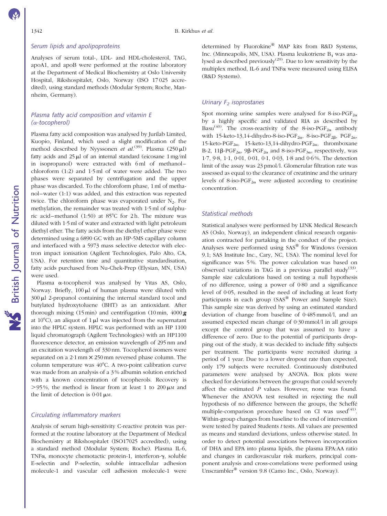# Serum lipids and apolipoproteins

Analyses of serum total-, LDL- and HDL-cholesterol, TAG, apoA1, and apoB were performed at the routine laboratory at the Department of Medical Biochemistry at Oslo University Hospital, Rikshospitalet, Oslo, Norway (ISO 17 025 accredited), using standard methods (Modular System; Roche, Mannheim, Germany).

# Plasma fatty acid composition and vitamin E (a-tocopherol)

Plasma fatty acid composition was analysed by Jurilab Limited, Kuopio, Finland, which used a slight modification of the method described by Nyyssonen et  $al^{(39)}$ . Plasma (250 µl) fatty acids and  $25 \mu$ l of an internal standard (eicosane 1 mg/ml in isopropanol) were extracted with 6ml of methanolchloroform (1:2) and 1·5 ml of water were added. The two phases were separated by centrifugation and the upper phase was discarded. To the chloroform phase, 1 ml of methanol–water (1:1) was added, and this extraction was repeated twice. The chloroform phase was evaporated under  $N_2$ . For methylation, the remainder was treated with 1·5 ml of sulphuric acid–methanol (1:50) at  $85^{\circ}$ C for 2 h. The mixture was diluted with 1·5 ml of water and extracted with light petroleum diethyl ether. The fatty acids from the diethyl ether phase were determined using a 6890 GC with an HP-5MS capillary column and interfaced with a 5973 mass selective detector with electron impact ionisation (Agilent Technologies, Palo Alto, CA, USA). For retention time and quantitative standardisation, fatty acids purchased from Nu-Chek-Prep (Elysian, MN, USA) were used.

Plasma a-tocopherol was analysed by Vitas AS, Oslo, Norway. Briefly,  $100 \mu l$  of human plasma were diluted with 300 ml 2-propanol containing the internal standard tocol and butylated hydroxytoluene (BHT) as an antioxidant. After thorough mixing (15 min) and centrifugation (10 min,  $4000\,\text{g}$ at  $10^{\circ}$ C), an aliquot of 1  $\mu$ l was injected from the supernatant into the HPLC system. HPLC was performed with an HP 1100 liquid chromatograph (Agilent Technologies) with an HP1100 fluorescence detector, an emission wavelength of 295 nm and an excitation wavelength of 330 nm. Tocopherol isomers were separated on a  $2.1$  mm  $\times$  250 mm reversed phase column. The column temperature was 40°C. A two-point calibration curve was made from an analysis of a 3 % albumin solution enriched with a known concentration of tocopherols. Recovery is  $>95\%$ , the method is linear from at least 1 to 200  $\mu$ M and the limit of detection is  $0.01 \mu$ M.

# Circulating inflammatory markers

Analysis of serum high-sensitivity C-reactive protein was performed at the routine laboratory at the Department of Medical Biochemistry at Rikshospitalet (ISO17025 accredited), using a standard method (Modular System; Roche). Plasma IL-6, TNFa, monocyte chemotactic protein-1, interferon-g, soluble E-selectin and P-selectin, soluble intracellular adhesion molecule-1 and vascular cell adhesion molecule-1 were

determined by Fluorokine $^{\circledR}$  MAP kits from R&D Systems, Inc. (Minneapolis, MN, USA). Plasma leukotriene B<sub>4</sub> was analysed as described previously<sup>(29)</sup>. Due to low sensitivity by the multiplex method, IL-6 and TNFa were measured using ELISA (R&D Systems).

# Urinary  $F_2$  isoprostanes

Spot morning urine samples were analysed for 8-iso-PGF<sub>2 $\alpha$ </sub> by a highly specific and validated RIA as described by Basu<sup>(40)</sup>. The cross-reactivity of the 8-iso-PGF<sub>2 $\alpha$ </sub> antibody with 15-keto-13,14-dihydro-8-iso-PGF<sub>2a</sub>, 8-iso-PGF<sub>2B</sub>, PGF<sub>2a</sub>, 15-keto-PGF<sub>2 $\alpha$ </sub>, 15-keto-13,14-dihydro-PGF<sub>2 $\alpha$ </sub>, thromboxane B-2, 11 $\beta$ -PGF<sub>2a</sub>, 9 $\beta$ -PGF<sub>2a</sub> and 8-iso-PGF<sub>3a</sub>, respectively, was 1·7, 9·8, 1·1, 0·01, 0·01, 0·1, 0·03, 1·8 and 0·6 %. The detection limit of the assay was 23 pmol/l. Glomerular filtration rate was assessed as equal to the clearance of creatinine and the urinary levels of 8-iso-PGF<sub>2 $\alpha$ </sub> were adjusted according to creatinine concentration.

### Statistical methods

Statistical analyses were performed by LINK Medical Research AS (Oslo, Norway), an independent clinical research organisation contracted for partaking in the conduct of the project. Analyses were performed using  $SAS^{\circledast}$  for Windows (version 9.1; SAS Institute Inc., Cary, NC, USA). The nominal level for significance was 5%. The power calculation was based on observed variations in TAG in a previous parallel study<sup>(33)</sup>. Sample size calculations based on testing a null hypothesis of no difference, using a power of 0·80 and a significance level of 0·05, resulted in the need of including at least forty participants in each group (SAS® Power and Sample Size). This sample size was derived by using an estimated standard deviation of change from baseline of 0·485 mmol/l, and an assumed expected mean change of 0·30 mmol/l in all groups except the control group that was assumed to have a difference of zero. Due to the potential of participants dropping out of the study, it was decided to include fifty subjects per treatment. The participants were recruited during a period of 1 year. Due to a lower dropout rate than expected, only 179 subjects were recruited. Continuously distributed parameters were analysed by ANOVA. Box plots were checked for deviations between the groups that could severely affect the estimated  $P$  values. However, none was found. Whenever the ANOVA test resulted in rejecting the null hypothesis of no difference between the groups, the Scheffe multiple-comparison procedure based on CI was used<sup>(41)</sup>. Within-group changes from baseline to the end of intervention were tested by paired Students t tests. All values are presented as means and standard deviations, unless otherwise stated. In order to detect potential associations between incorporation of DHA and EPA into plasma lipids, the plasma EPA:AA ratio and changes in cardiovascular risk markers, principal component analysis and cross-correlations were performed using Unscrambler $^{\circledR}$  version 9.8 (Camo Inc., Oslo, Norway).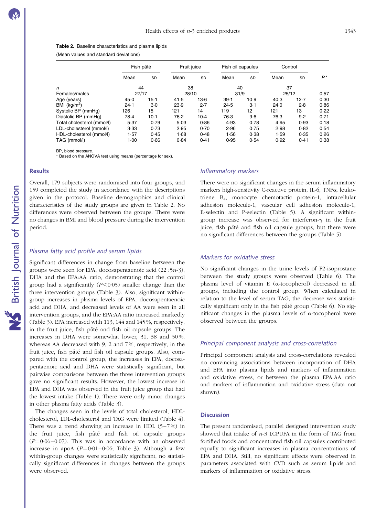#### Table 2. Baseline characteristics and plasma lipids

(Mean values and standard deviations)

|                            | Fish pâté |        | Fruit juice |        | Fish oil capsules |      | Control |      |      |
|----------------------------|-----------|--------|-------------|--------|-------------------|------|---------|------|------|
|                            | Mean      | SD     | Mean        | SD     | Mean              | SD   | Mean    | SD   | P*   |
| n                          | 44        |        | 38          |        | 40                |      | 37      |      |      |
| Females/males              | 27/17     |        | 28/10       |        | 31/9              |      | 25/12   |      | 0.57 |
| Age (years)                | 45.0      | $15-1$ | 41.5        | $13-6$ | 39.1              | 10.9 | 40.3    | 12.7 | 0.30 |
| BMI ( $kg/m2$ )            | 24.1      | 3.0    | 23.9        | 2.7    | 24.5              | 3.1  | 24.0    | 2.8  | 0.86 |
| Systolic BP (mmHg)         | 126       | 15     | 121         | 14     | 119               | 12   | 121     | 13   | 0.22 |
| Diastolic BP (mmHg)        | 78.4      | $10-1$ | 76.2        | $10-4$ | 76.3              | 9.6  | 76.3    | 9.2  | 0.71 |
| Total cholesterol (mmol/l) | 5.37      | 0.79   | 5.03        | 0.86   | 4.93              | 0.78 | 4.95    | 0.93 | 0.18 |
| LDL-cholesterol (mmol/l)   | 3.33      | 0.73   | 2.95        | 0.70   | 2.96              | 0.75 | 2.98    | 0.82 | 0.54 |
| HDL-cholesterol (mmol/l)   | 1.57      | 0.45   | 1.68        | 0.48   | 1.56              | 0.38 | 1.59    | 0.35 | 0.26 |
| TAG (mmol/l)               | $1-00$    | 0.66   | 0.84        | 0.41   | 0.95              | 0.54 | 0.92    | 0.41 | 0.38 |

BP, blood pressure.

\* Based on the ANOVA test using means (percentage for sex).

### **Results**

Overall, 179 subjects were randomised into four groups, and 159 completed the study in accordance with the descriptions given in the protocol. Baseline demographics and clinical characteristics of the study groups are given in Table 2. No differences were observed between the groups. There were no changes in BMI and blood pressure during the intervention period.

## Plasma fatty acid profile and serum lipids

Significant differences in change from baseline between the groups were seen for EPA, docosapentaenoic acid  $(22:5n-3)$ , DHA and the EPA:AA ratio, demonstrating that the control group had a significantly  $(P<0.05)$  smaller change than the three intervention groups ([Table 3](#page-5-0)). Also, significant withingroup increases in plasma levels of EPA, docosapentaenoic acid and DHA, and decreased levels of AA were seen in all intervention groups, and the EPA:AA ratio increased markedly ([Table 3\)](#page-5-0). EPA increased with 113, 144 and 145 %, respectively, in the fruit juice, fish pâté and fish oil capsule groups. The increases in DHA were somewhat lower, 31, 38 and 50 %, whereas AA decreased with 9, 2 and 7 %, respectively, in the fruit juice, fish pâté and fish oil capsule groups. Also, compared with the control group, the increases in EPA, docosapentaenoic acid and DHA were statistically significant, but pairwise comparisons between the three intervention groups gave no significant results. However, the lowest increase in EPA and DHA was observed in the fruit juice group that had the lowest intake ([Table 1\)](#page-2-0). There were only minor changes in other plasma fatty acids ([Table 3\)](#page-5-0).

The changes seen in the levels of total cholesterol, HDLcholesterol, LDL-cholesterol and TAG were limited ([Table 4\)](#page-6-0). There was a trend showing an increase in HDL  $(5-7%)$  in the fruit juice, fish pâté and fish oil capsule groups  $(P=0.06-0.07)$ . This was in accordance with an observed increase in apoA  $(P=0.01-0.06$ ; [Table 3\)](#page-5-0). Although a few within-group changes were statistically significant, no statistically significant differences in changes between the groups were observed.

#### Inflammatory markers

There were no significant changes in the serum inflammatory markers high-sensitivity C-reactive protein, IL-6, TNFa, leukotriene B4, monocyte chemotactic protein-1, intracellular adhesion molecule-1, vascular cell adhesion molecule-1, E-selectin and P-selectin ([Table 5\)](#page-7-0). A significant withingroup increase was observed for interferon- $\gamma$  in the fruit juice, fish pâté and fish oil capsule groups, but there were no significant differences between the groups [\(Table 5](#page-7-0)).

#### Markers for oxidative stress

No significant changes in the urine levels of F2-isoprostane between the study groups were observed ([Table 6\)](#page-7-0). The plasma level of vitamin E ( $\alpha$ -tocopherol) decreased in all groups, including the control group. When calculated in relation to the level of serum TAG, the decrease was statisti-cally significant only in the fish pâté group [\(Table 6\)](#page-7-0). No significant changes in the plasma levels of  $\alpha$ -tocopherol were observed between the groups.

#### Principal component analysis and cross-correlation

Principal component analysis and cross-correlations revealed no convincing associations between incorporation of DHA and EPA into plasma lipids and markers of inflammation and oxidative stress, or between the plasma EPA:AA ratio and markers of inflammation and oxidative stress (data not shown).

### **Discussion**

The present randomised, parallel designed intervention study showed that intake of  $n-3$  LCPUFA in the form of TAG from fortified foods and concentrated fish oil capsules contributed equally to significant increases in plasma concentrations of EPA and DHA. Still, no significant effects were observed in parameters associated with CVD such as serum lipids and markers of inflammation or oxidative stress.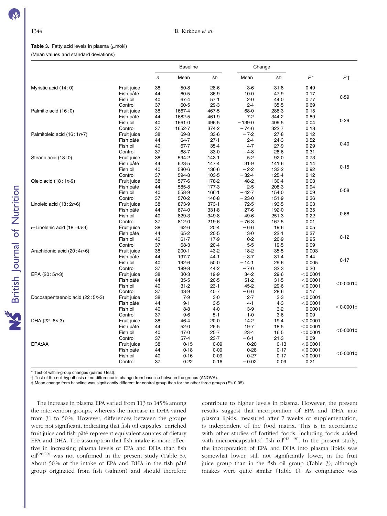#### <span id="page-5-0"></span>Table 3. Fatty acid levels in plasma  $(\mu \text{mol/l})$

|                                    |                          |              | <b>Baseline</b> |                |          | Change     |                    |              |  |
|------------------------------------|--------------------------|--------------|-----------------|----------------|----------|------------|--------------------|--------------|--|
|                                    |                          | $\mathsf{n}$ | Mean            | SD             | Mean     | SD         | $P^*$              | P†           |  |
| Myristic acid (14:0)               | Fruit juice              | 38           | $50-8$          | 28.6           | $3-6$    | 31.8       | 0.49               |              |  |
|                                    | Fish pâté                | 44           | $60 - 5$        | 36.9           | $10-0$   | 47.9       | 0.17               |              |  |
|                                    | Fish oil                 | 40           | 67.4            | 57.1           | 2.0      | 44.0       | 0.77               | 0.59         |  |
|                                    | Control                  | 37           | $60 - 5$        | 29.3           | $-2.4$   | $35-5$     | 0.69               |              |  |
| Palmitic acid (16:0)               | Fruit juice              | 38           | 1667-4          | 467.5          | $-68.0$  | 288-3      | 0.15               |              |  |
|                                    | Fish pâté                | 44           | 1682-5          | 461.9          | 7.2      | 344.2      | 0.89               |              |  |
|                                    | Fish oil                 | 40           | 1661-0          | 496-5          | $-139.0$ | 409.5      | 0.04               | 0.29         |  |
|                                    | Control                  | 37           | 1652.7          | 374.2          | $-74.6$  | 322.7      | 0.18               |              |  |
| Palmitoleic acid (16:1n-7)         | Fruit juice              | 38           | 69.8            | $33-6$         | $-7.2$   | 27.8       | 0.12               |              |  |
|                                    | Fish pâté                | 44           | $64 - 7$        | 27.1           | 2.4      | 24.3       | 0.52               |              |  |
|                                    | Fish oil                 | 40           | 67.7            | $35-4$         | $-4.7$   | 27.9       | 0.29               | 0.40         |  |
|                                    | Control                  | 37           | $68 - 7$        | 33.0           | $-4.8$   | $28-6$     | 0.31               |              |  |
| Stearic acid (18:0)                | Fruit juice              | 38           | 594.2           | 143.1          | 5.2      | 92.0       | 0.73               |              |  |
|                                    | Fish pâté                | 44           | 623-5           | 147.4          | 31.9     | 141.6      | 0.14               |              |  |
|                                    | Fish oil                 | 40           | 580-6           | 136-6          | $-2.2$   | 133-2      | 0.92               | 0.15         |  |
|                                    | Control                  | 37           | 594.8           | 103.5          | $-32.4$  | $125-4$    | 0.12               |              |  |
| Oleic acid $(18:1n-9)$             | Fruit juice              | 38           | 577.6           | 178.2          | $-48.2$  | 130-4      | 0.03               |              |  |
|                                    | Fish pâté                | 44           | 585-8           | 177.3          | $-2.5$   | 208.3      | 0.94               |              |  |
|                                    | Fish oil                 | 40           | 558.9           | $166 - 1$      | $-42.7$  | 154.0      | 0.09               | 0.58         |  |
|                                    | Control                  | 37           | 570.2           | 146.8          | $-23.0$  | 151.9      | 0.36               |              |  |
| Linoleic acid $(18:2n-6)$          | Fruit juice              | 38           | 873.9           | 373.1          | $-72.5$  | 193-5      | 0.03               |              |  |
|                                    | Fish pâté                | 44           | 874.0           | 331.8          | $-27.6$  | 192.0      | 0.35               |              |  |
|                                    | Fish oil                 | 40           | 829.3           | 349.8          | $-49.6$  | 251.3      | 0.22               | 0.68         |  |
|                                    | Control                  | 37           | 812-0           | 219.6          | $-76.3$  | 167.5      | 0.01               |              |  |
| $\alpha$ -Linolenic acid (18:3n-3) | Fruit juice              | 38           | 62.6            | $20-4$         | $-6.6$   | $19-6$     | 0.05               |              |  |
|                                    | Fish pâté                | 44           | $65 - 2$        | $20-5$         | 3.0      | 22.1       | 0.37               |              |  |
|                                    | Fish oil                 | 40           | $61 - 7$        | 17.9           | 0.2      | 20.9       | 0.95               | 0.12         |  |
|                                    | Control                  | 37           | 68.3            | $20-4$         | $-5.5$   | 19.5       | 0.09               |              |  |
| Arachidonic acid (20:4n-6)         | Fruit juice              | 38           | $200-1$         | 43.2           | $-18.2$  | $35-5$     | 0.003              |              |  |
|                                    | Fish pâté                | 44           | 197.7           | 44.1           | $-3.7$   | 31.4       | 0.44               |              |  |
|                                    | Fish oil                 | 40           | 192.6           | 50.0           | $-14.1$  | 29.6       | 0.005              | 0.17         |  |
|                                    | Control                  | 37           | 189-8           | 44.2           | $-7.0$   | 32.3       | 0.20               |              |  |
|                                    |                          | 38           | $30-3$          | 19.9           | 34.2     | 29.6       | < 0.0001           |              |  |
| EPA $(20:5n-3)$                    | Fruit juice<br>Fish pâté | 44           | 35.5            | $20-5$         | $51-2$   | 31.5       | < 0.0001           |              |  |
|                                    | Fish oil                 | 40           | $31 - 2$        | $23-1$         | 45.2     | 29.6       | < 0.0001           | $< 0.0001$ ‡ |  |
|                                    | Control                  | 37           | 43.9            | $40-7$         | $-6.6$   | $28-6$     | 0.17               |              |  |
|                                    |                          | 38           | 7.9             | $3-0$          | 2.7      | $3-3$      |                    |              |  |
| Docosapentaenoic acid (22:5n-3)    | Fruit juice              |              |                 |                | 4.1      |            | < 0.0001           |              |  |
|                                    | Fish pâté                | 44<br>40     | 9.1<br>8.8      | $3-5$<br>$4-0$ | 3.9      | 4.3<br>3.2 | < 0.0001<br>0.0001 | $< 0.0001$ ‡ |  |
|                                    | Fish oil                 |              |                 |                |          |            |                    |              |  |
|                                    | Control                  | 37           | $9-6$           | $5-1$          | $-1.0$   | $3-6$      | 0.09               |              |  |
| DHA (22:6n-3)                      | Fruit juice              | 38           | 46.4            | $20-0$         | 14.2     | $19-4$     | < 0.0001           |              |  |
|                                    | Fish pâté                | 44           | 52.0            | $26-5$         | 19.7     | $18-5$     | < 0.0001           | $< 0.0001$ ‡ |  |
|                                    | Fish oil                 | 40           | 47.0            | $25 - 7$       | $23-4$   | $16-5$     | < 0.0001           |              |  |
|                                    | Control                  | 37           | 57.4            | 23.7           | $-6.1$   | 21.3       | 0.09               |              |  |
| EPA:AA                             | Fruit juice              | 38           | 0.15            | 0.09           | 0.20     | 0.13       | < 0.0001           |              |  |
|                                    | Fish pâté                | 44           | 0.18            | 0.09           | 0.28     | 0.17       | < 0.0001           | $< 0.0001$ ‡ |  |
|                                    | Fish oil                 | 40           | 0.16            | 0.09           | 0.27     | 0.17       | < 0.0001           |              |  |
|                                    | Control                  | 37           | 0.22            | 0.16           | $-0.02$  | 0.09       | 0.21               |              |  |

 $*$  Test of within-group changes (paired  $t$  test).

† Test of the null hypothesis of no difference in change from baseline between the groups (ANOVA).

 $\ddagger$  Mean change from baseline was significantly different for control group than for the other three groups ( $P < 0.05$ ).

The increase in plasma EPA varied from 113 to 145 % among the intervention groups, whereas the increase in DHA varied from 31 to 50 %. However, differences between the groups were not significant, indicating that fish oil capsules, enriched fruit juice and fish pâté represent equivalent sources of dietary EPA and DHA. The assumption that fish intake is more effective in increasing plasma levels of EPA and DHA than fish  $\text{oil}^{(28,29)}$  was not confirmed in the present study (Table 3). About 50% of the intake of EPA and DHA in the fish pâté group originated from fish (salmon) and should therefore contribute to higher levels in plasma. However, the present results suggest that incorporation of EPA and DHA into plasma lipids, measured after 7 weeks of supplementation, is independent of the food matrix. This is in accordance with other studies of fortified foods, including foods added with microencapsulated fish oil<sup>(42–48)</sup>. In the present study, the incorporation of EPA and DHA into plasma lipids was somewhat lower, still not significantly lower, in the fruit juice group than in the fish oil group (Table 3), although intakes were quite similar ([Table 1\)](#page-2-0). As compliance was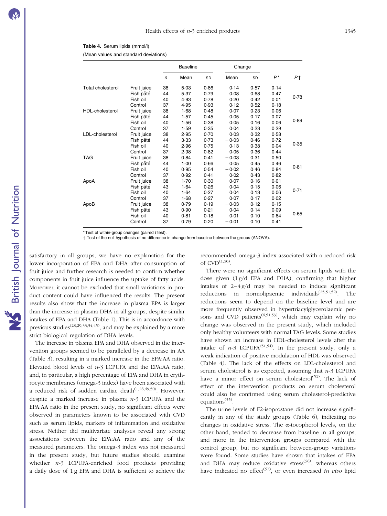#### <span id="page-6-0"></span>Table 4. Serum lipids (mmol/l)

(Mean values and standard deviations)

|                          |             |    | <b>Baseline</b> |      | Change  |      |       |      |
|--------------------------|-------------|----|-----------------|------|---------|------|-------|------|
|                          |             | n  | Mean            | SD   | Mean    | SD   | $P^*$ | P†   |
| <b>Total cholesterol</b> | Fruit juice | 38 | 5.03            | 0.86 | 0.14    | 0.57 | 0.14  |      |
|                          | Fish pâté   | 44 | 5.37            | 0.79 | 0.08    | 0.68 | 0.47  |      |
|                          | Fish oil    | 40 | 4.93            | 0.78 | 0.20    | 0.42 | 0.01  | 0.78 |
|                          | Control     | 37 | 4.95            | 0.93 | 0.12    | 0.52 | 0.18  |      |
| <b>HDL-cholesterol</b>   | Fruit juice | 38 | 1.68            | 0.48 | 0.07    | 0.23 | 0.06  |      |
|                          | Fish pâté   | 44 | 1.57            | 0.45 | 0.05    | 0.17 | 0.07  |      |
|                          | Fish oil    | 40 | 1.56            | 0.38 | 0.05    | 0.16 | 0.06  | 0.89 |
|                          | Control     | 37 | 1.59            | 0.35 | 0.04    | 0.23 | 0.29  |      |
| LDL-cholesterol          | Fruit juice | 38 | 2.95            | 0.70 | 0.03    | 0.32 | 0.58  |      |
|                          | Fish pâté   | 44 | 3.33            | 0.73 | $-0.03$ | 0.46 | 0.72  |      |
|                          | Fish oil    | 40 | 2.96            | 0.75 | 0.13    | 0.38 | 0.04  | 0.35 |
|                          | Control     | 37 | 2.98            | 0.82 | 0.05    | 0.36 | 0.44  |      |
| <b>TAG</b>               | Fruit juice | 38 | 0.84            | 0.41 | $-0.03$ | 0.31 | 0.50  |      |
|                          | Fish pâté   | 44 | 1.00            | 0.66 | 0.05    | 0.45 | 0.46  |      |
|                          | Fish oil    | 40 | 0.95            | 0.54 | $-0.02$ | 0.46 | 0.84  | 0.81 |
|                          | Control     | 37 | 0.92            | 0.41 | 0.02    | 0.43 | 0.82  |      |
| ApoA                     | Fruit juice | 38 | $1-70$          | 0.30 | 0.07    | 0.16 | 0.01  |      |
|                          | Fish pâté   | 43 | 1.64            | 0.26 | 0.04    | 0.15 | 0.06  |      |
|                          | Fish oil    | 40 | 1.64            | 0.27 | 0.04    | 0.13 | 0.06  | 0.71 |
|                          | Control     | 37 | 1.68            | 0.27 | 0.07    | 0.17 | 0.02  |      |
| ApoB                     | Fruit juice | 38 | 0.79            | 0.19 | $-0.03$ | 0.12 | 0.15  |      |
|                          | Fish pâté   | 43 | 0.90            | 0.21 | $-0.04$ | 0.14 | 0.09  |      |
|                          | Fish oil    | 40 | 0.81            | 0.18 | $-0.01$ | 0.10 | 0.64  | 0.65 |
|                          | Control     | 37 | 0.79            | 0.20 | $-0.01$ | 0.10 | 0.41  |      |

 $*$  Test of within-group changes (paired  $t$  test).

† Test of the null hypothesis of no difference in change from baseline between the groups (ANOVA).

satisfactory in all groups, we have no explanation for the lower incorporation of EPA and DHA after consumption of fruit juice and further research is needed to confirm whether components in fruit juice influence the uptake of fatty acids. Moreover, it cannot be excluded that small variations in product content could have influenced the results. The present results also show that the increase in plasma EPA is larger than the increase in plasma DHA in all groups, despite similar intakes of EPA and DHA [\(Table 1\)](#page-2-0). This is in accordance with previous studies<sup> $(28,29,33,34,45)$ </sup>, and may be explained by a more strict biological regulation of DHA levels.

The increase in plasma EPA and DHA observed in the intervention groups seemed to be paralleled by a decrease in AA ([Table 3](#page-5-0)), resulting in a marked increase in the EPA:AA ratio. Elevated blood levels of  $n-3$  LCPUFA and the EPA:AA ratio, and, in particular, a high percentage of EPA and DHA in erythrocyte membranes (omega-3 index) have been associated with a reduced risk of sudden cardiac death $(1,26,49,50)$ . However, despite a marked increase in plasma  $n-3$  LCPUFA and the EPA:AA ratio in the present study, no significant effects were observed in parameters known to be associated with CVD such as serum lipids, markers of inflammation and oxidative stress. Neither did multivariate analyses reveal any strong associations between the EPA:AA ratio and any of the measured parameters. The omega-3 index was not measured in the present study, but future studies should examine whether  $n-3$  LCPUFA-enriched food products providing a daily dose of 1 g EPA and DHA is sufficient to achieve the

recommended omega-3 index associated with a reduced risk of  $CVD^{(1,50)}$ .

There were no significant effects on serum lipids with the dose given (1 g/d EPA and DHA), confirming that higher intakes of  $2-4g/d$  may be needed to induce significant reductions in normolipaemic individuals<sup> $(25,51,52)$ </sup>. The reductions seem to depend on the baseline level and are more frequently observed in hypertriacylglycerolaemic persons and CVD patients<sup> $(6,51,53)$ </sup>, which may explain why no change was observed in the present study, which included only healthy volunteers with normal TAG levels. Some studies have shown an increase in HDL-cholesterol levels after the intake of  $n-3$  LCPUFA<sup>(51,54)</sup>. In the present study, only a weak indication of positive modulation of HDL was observed (Table 4). The lack of the effects on LDL-cholesterol and serum cholesterol is as expected, assuming that  $n-3$  LCPUFA have a minor effect on serum cholesterol<sup> $(51)$ </sup>. The lack of effect of the intervention products on serum cholesterol could also be confirmed using serum cholesterol-predictive equations<sup> $(55)$ </sup>.

The urine levels of F2-isoprostane did not increase significantly in any of the study groups ([Table 6\)](#page-7-0), indicating no changes in oxidative stress. The  $\alpha$ -tocopherol levels, on the other hand, tended to decrease from baseline in all groups, and more in the intervention groups compared with the control group, but no significant between-group variations were found. Some studies have shown that intakes of EPA and DHA may reduce oxidative stress<sup> $(56)$ </sup>, whereas others have indicated no effect<sup>(57)</sup>, or even increased in vivo lipid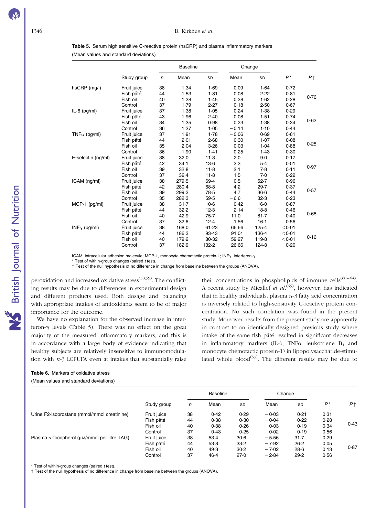<span id="page-7-0"></span>Table 5. Serum high sensitive C-reactive protein (hsCRP) and plasma inflammatory markers (Mean values and standard deviations)

|                        |             | <b>Baseline</b> |          |        |         | Change   |              |                |
|------------------------|-------------|-----------------|----------|--------|---------|----------|--------------|----------------|
|                        | Study group | n               | Mean     | SD     | Mean    | SD       | $P^*$        | P <sub>†</sub> |
| hsCRP (mg/l)           | Fruit juice | 38              | 1.34     | 1.69   | $-0.09$ | 1.64     | 0.72         |                |
|                        | Fish pâté   | 44              | 1.53     | 1.81   | 0.08    | 2.22     | 0.81         |                |
|                        | Fish oil    | 40              | 1.28     | 1.45   | 0.28    | 1.62     | 0.28         | 0.76           |
|                        | Control     | 37              | 1.79     | 2.27   | $-0.18$ | 2.50     | 0.67         |                |
| $IL-6$ (pg/ml)         | Fruit juice | 37              | 1.38     | 1.05   | 0.24    | 1.38     | 0.29         |                |
|                        | Fish pâté   | 43              | 1.96     | 2.40   | 0.08    | 1.51     | 0.74         |                |
|                        | Fish oil    | 34              | 1.35     | 0.98   | 0.23    | 1.38     | 0.34         | 0.62           |
|                        | Control     | 36              | 1.27     | 1.05   | $-0.14$ | 1.10     | 0.44         |                |
| TNF $\alpha$ (pg/ml)   | Fruit juice | 37              | 1.91     | 1.78   | $-0.06$ | 0.69     | 0.61         |                |
|                        | Fish pâté   | 44              | 2.01     | 2.68   | 0.30    | 1.07     | 0.08         |                |
|                        | Fish oil    | 35              | 2.04     | 3.26   | 0.03    | 1.04     | 0.88         | 0.25           |
|                        | Control     | 36              | 1.90     | 1.41   | $-0.25$ | 1.43     | 0.30<br>0.17 |                |
| E-selectin (ng/ml)     | Fruit juice | 38              | 32.0     | $11-3$ | 2.0     | 9.0      |              |                |
|                        | Fish pâté   | 42              | $34 - 1$ | $13-6$ | 2.3     | $5-4$    | 0.01         |                |
|                        | Fish oil    | 39              | 32.8     | 11.8   | 2.1     | 7.8      | 0.11         | 0.97           |
|                        | Control     | 37              | 32.4     | 11.8   | 1.5     | 7.0      | 0.22         |                |
| ICAM (ng/ml)           | Fruit juice | 38              | 279.5    | 69.4   | $-0.5$  | $52 - 7$ | 0.96         |                |
|                        | Fish pâté   | 42              | 280-4    | 68.8   | 4.2     | 29.7     | 0.37         |                |
|                        | Fish oil    | 39              | 299.3    | 78.5   | 4.7     | $36-6$   | 0.44         | 0.57           |
|                        | Control     | 35              | 282.3    | 59.5   | $-6.6$  | 32.3     | 0.23         |                |
| MCP-1 (pg/ml)          | Fruit juice | 38              | $31 - 7$ | $10-6$ | 0.42    | $16-0$   | 0.87         |                |
|                        | Fish pâté   | 44              | 32.2     | 12.3   | 2.14    | $18-8$   | 0.46         |                |
|                        | Fish oil    | 40              | 42.9     | 75.7   | 11.0    | $81 - 7$ | 0.40         | 0.68           |
|                        | Control     | 37              | 32.6     | 12.4   | 1.56    | $16-1$   | 0.56         |                |
| $INF_{\gamma}$ (pg/ml) | Fruit juice | 38              | 168-0    | 61.23  | 66.66   | 125.4    | < 0.01       |                |
|                        | Fish pâté   | 44              | 186-3    | 93.43  | 91.01   | 136-4    | < 0.01       |                |
|                        | Fish oil    | 40              | 179.2    | 80.32  | 59.27   | 119-8    | < 0.01       | 0.16           |
|                        | Control     | 37              | 182.9    | 132.2  | 26.66   | 124.8    | 0.20         |                |

ICAM, intracellular adhesion molecule; MCP-1, monocyte chemotactic protein-1; INF<sub>Y</sub>, interferon-y.

 $*$  Test of within-group changes (paired  $t$  test).

† Test of the null hypothesis of no difference in change from baseline between the groups (ANOVA).

peroxidation and increased oxidative stress(58,59). The conflicting results may be due to differences in experimental design and different products used. Both dosage and balancing with appropriate intakes of antioxidants seem to be of major importance for the outcome.

We have no explanation for the observed increase in interferon- $\gamma$  levels (Table 5). There was no effect on the great majority of the measured inflammatory markers, and this is in accordance with a large body of evidence indicating that healthy subjects are relatively insensitive to immunomodulation with  $n-3$  LCPUFA even at intakes that substantially raise

#### Table 6. Markers of oxidative stress

(Mean values and standard deviations)

their concentrations in phospholipids of immune cells<sup>(60–64)</sup>. A recent study by Micallef et  $al^{(65)}$ , however, has indicated that in healthy individuals, plasma  $n-3$  fatty acid concentration is inversely related to high-sensitivity C-reactive protein concentration. No such correlation was found in the present study. Moreover, results from the present study are apparently in contrast to an identically designed previous study where intake of the same fish pâté resulted in significant decreases in inflammatory markers (IL-6, TNF $\alpha$ , leukotriene B<sub>4</sub> and monocyte chemotactic protein-1) in lipopolysaccharide-stimulated whole blood<sup> $(33)$ </sup>. The different results may be due to

|                                                           | Study group |    | <b>Baseline</b> |        |         | Change    |      |      |
|-----------------------------------------------------------|-------------|----|-----------------|--------|---------|-----------|------|------|
|                                                           |             | n  | Mean            | SD     | Mean    | <b>SD</b> | P*   | P†   |
| Urine F2-isoprostane (mmol/mmol creatinine)               | Fruit juice | 38 | 0.42            | 0.29   | $-0.03$ | 0.21      | 0.31 |      |
|                                                           | Fish pâté   | 44 | 0.38            | 0.30   | $-0.04$ | 0.22      | 0.28 | 0.43 |
|                                                           | Fish oil    | 40 | 0.38            | 0.26   | 0.03    | 0.19      | 0.34 |      |
|                                                           | Control     | 37 | 0.43            | 0.25   | $-0.02$ | 0.19      | 0.56 |      |
| Plasma $\alpha$ -tocopherol ( $\mu$ M/mmol per litre TAG) | Fruit juice | 38 | $53-4$          | $30-6$ | $-5.56$ | $31 - 7$  | 0.29 |      |
|                                                           | Fish pâté   | 44 | $53-8$          | 33.2   | $-7.92$ | $26 - 2$  | 0.05 |      |
|                                                           | Fish oil    | 40 | 49.3            | $30-2$ | $-7.02$ | 28.6      | 0.13 | 0.87 |
|                                                           | Control     | 37 | $46-4$          | 27.0   | $-2.84$ | 29.2      | 0.56 |      |

 $*$  Test of within-group changes (paired  $t$  test).

† Test of the null hypothesis of no difference in change from baseline between the groups (ANOVA).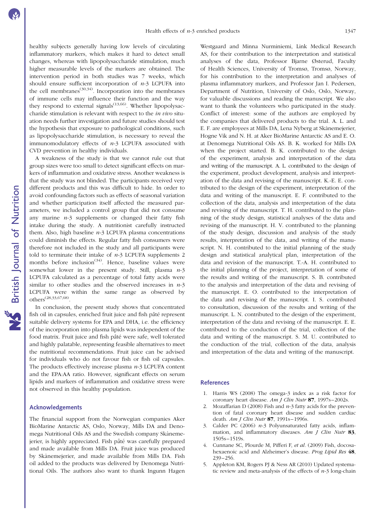healthy subjects generally having low levels of circulating inflammatory markers, which makes it hard to detect small changes, whereas with lipopolysaccharide stimulation, much higher measurable levels of the markers are obtained. The intervention period in both studies was 7 weeks, which should ensure sufficient incorporation of  $n-3$  LCPUFA into the cell membranes<sup>(30,34)</sup>. Incorporation into the membranes of immune cells may influence their function and the way they respond to external signals $(13,66)$ . Whether lipopolysaccharide stimulation is relevant with respect to the *in vivo* situation needs further investigation and future studies should test the hypothesis that exposure to pathological conditions, such as lipopolysaccharide stimulation, is necessary to reveal the immunomodulatory effects of n-3 LCPUFA associated with CVD prevention in healthy individuals.

A weakness of the study is that we cannot rule out that group sizes were too small to detect significant effects on markers of inflammation and oxidative stress. Another weakness is that the study was not blinded. The participants received very different products and this was difficult to hide. In order to avoid confounding factors such as effects of seasonal variation and whether participation itself affected the measured parameters, we included a control group that did not consume any marine  $n-3$  supplements or changed their fatty fish intake during the study. A nutritionist carefully instructed them. Also, high baseline  $n-3$  LCPUFA plasma concentrations could diminish the effects. Regular fatty fish consumers were therefore not included in the study and all participants were told to terminate their intake of  $n-3$  LCPUFA supplements 2 months before inclusion<sup> $(34)$ </sup>. Hence, baseline values were somewhat lower in the present study. Still, plasma  $n-3$ LCPUFA calculated as a percentage of total fatty acids were similar to other studies and the observed increases in  $n-3$ LCPUFA were within the same range as observed by others(28,33,67,68).

In conclusion, the present study shows that concentrated fish oil in capsules, enriched fruit juice and fish pâté represent suitable delivery systems for EPA and DHA, i.e. the efficiency of the incorporation into plasma lipids was independent of the food matrix. Fruit juice and fish pâté were safe, well tolerated and highly palatable, representing feasible alternatives to meet the nutritional recommendations. Fruit juice can be advised for individuals who do not favour fish or fish oil capsules. The products effectively increase plasma  $n-3$  LCPUFA content and the EPA:AA ratio. However, significant effects on serum lipids and markers of inflammation and oxidative stress were not observed in this healthy population.

# Acknowledgements

The financial support from the Norwegian companies Aker BioMarine Antarctic AS, Oslo, Norway, Mills DA and Denomega Nutritional Oils AS and the Swedish company Skånemejerier, is highly appreciated. Fish pâté was carefully prepared and made available from Mills DA. Fruit juice was produced by Skånemejerier, and made available from Mills DA. Fish oil added to the products was delivered by Denomega Nutritional Oils. The authors also want to thank Ingunn Hagen

Westgaard and Minna Nurminiemi, Link Medical Research AS, for their contribution to the interpretation and statistical analyses of the data, Professor Bjarne Østerud, Faculty of Health Sciences, University of Tromsø, Tromsø, Norway, for his contribution to the interpretation and analyses of plasma inflammatory markers, and Professor Jan I. Pedersen, Department of Nutrition, University of Oslo, Oslo, Norway, for valuable discussions and reading the manuscript. We also want to thank the volunteers who participated in the study. Conflict of interest: some of the authors are employed by the companies that delivered products to the trial. A. L. and E. F. are employees at Mills DA, Lena Nyberg at Skånemejerier, Hogne Vik and N. H. at Aker BioMarine Antarctic AS and E. O. at Denomega Nutritional Oils AS. B. K. worked for Mills DA when the project started. B. K. contributed to the design of the experiment, analysis and interpretation of the data and writing of the manuscript. A. L. contributed to the design of the experiment, product development, analysis and interpretation of the data and revising of the manuscript. K.-E. E. contributed to the design of the experiment, interpretation of the data and writing of the manuscript. E. F. contributed to the collection of the data, analysis and interpretation of the data and revising of the manuscript. T. H. contributed to the planning of the study design, statistical analyses of the data and revising of the manuscript. H. V. contributed to the planning of the study design, discussion and analysis of the study results, interpretation of the data, and writing of the manuscript. N. H. contributed to the initial planning of the study design and statistical analytical plan, interpretation of the data and revision of the manuscript. T.-A. H. contributed to the initial planning of the project, interpretation of some of the results and writing of the manuscript. S. B. contributed to the analysis and interpretation of the data and revising of the manuscript. E. O. contributed to the interpretation of the data and revising of the manuscript. I. S. contributed to consultation, discussion of the results and writing of the manuscript. L. N. contributed to the design of the experiment, interpretation of the data and revising of the manuscript. E. E. contributed to the conduction of the trial, collection of the data and writing of the manuscript. S. M. U. contributed to the conduction of the trial, collection of the data, analysis and interpretation of the data and writing of the manuscript.

#### References

- 1. Harris WS (2008) The omega-3 index as a risk factor for coronary heart disease. Am J Clin Nutr 87, 1997s–2002s.
- 2. Mozaffarian D (2008) Fish and  $n-3$  fatty acids for the prevention of fatal coronary heart disease and sudden cardiac death. Am J Clin Nutr 87, 1991s-1996s.
- 3. Calder PC (2006)  $n-3$  Polyunsaturated fatty acids, inflammation, and inflammatory diseases. Am  $J$  Clin Nutr  $83$ , 1505s–1519s.
- 4. Cunnane SC, Plourde M, Pifferi F, et al. (2009) Fish, docosahexaenoic acid and Alzheimer's disease. Prog Lipid Res 48, 239–256.
- 5. Appleton KM, Rogers PJ & Ness AR (2010) Updated systematic review and meta-analysis of the effects of  $n-3$  long-chain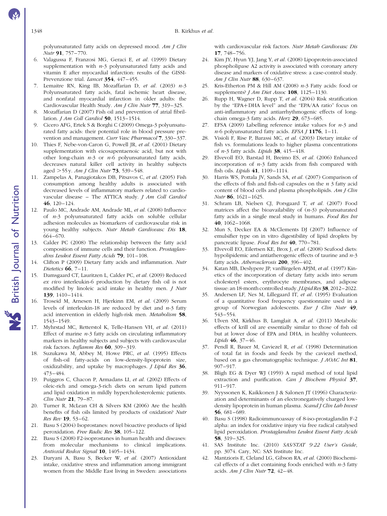**NS** British Journal of Nutrition British Journal of Nutrition

polyunsaturated fatty acids on depressed mood. Am J Clin Nutr 91, 757–770.

- 6. Valagussa F, Franzosi MG, Geraci E, et al. (1999) Dietary supplementation with  $n-3$  polyunsaturated fatty acids and vitamin E after myocardial infarction: results of the GISSI-Prevenzione trial. Lancet 354, 447–455.
- 7. Lemaitre RN, King IB, Mozaffarian D, et al. (2003) n-3 Polyunsaturated fatty acids, fatal ischemic heart disease, and nonfatal myocardial infarction in older adults: the Cardiovascular Health Study. Am J Clin Nutr 77, 319–325.
- 8. Mozaffarian D (2007) Fish oil and prevention of atrial fibrillation. *J Am Coll Cardiol* **50**, 1513-1514.
- 9. Cicero AFG, Ertek S & Borghi C (2009) Omega-3 polyunsaturated fatty acids: their potential role in blood pressure prevention and management. Curr Vasc Pharmacol 7, 330–337.
- 10. Thies F, Nebe-von-Caron G, Powell JR, et al. (2001) Dietary supplementation with eicosapentaenoic acid, but not with other long-chain  $n-3$  or  $n-6$  polyunsaturated fatty acids, decreases natural killer cell activity in healthy subjects aged  $> 55v$ . Am J Clin Nutr 73, 539–548.
- 11. Zampelas A, Panagiotakos DB, Pitsavos C, et al. (2005) Fish consumption among healthy adults is associated with decreased levels of inflammatory markers related to cardiovascular disease – The ATTICA study. J Am Coll Cardiol 46, 120–124.
- 12. Paulo MC, Andrade AM, Andrade ML, et al. (2008) Influence of n-3 polyunsaturated fatty acids on soluble cellular adhesion molecules as biomarkers of cardiovascular risk in young healthy subjects. Nutr Metab Cardiovasc Dis 18, 664–670.
- 13. Calder PC (2008) The relationship between the fatty acid composition of immune cells and their function. Prostaglandins Leukot Essent Fatty Acids 79, 101–108.
- 14. Clifton P (2009) Dietary fatty acids and inflammation. Nutr Dietetics 66, 7–11.
- 15. Damsgaard CT, Lauritzen L, Calder PC, et al. (2009) Reduced ex vivo interleukin-6 production by dietary fish oil is not modified by linoleic acid intake in healthy men. J Nutr 139, 1410–1414.
- 16. Troseid M, Arnesen H, Hjerkinn EM, et al. (2009) Serum levels of interleukin-18 are reduced by diet and  $n-3$  fatty acid intervention in elderly high-risk men. Metabolism 58, 1543–1549.
- 17. Myhrstad MC, Retterstol K, Telle-Hansen VH, et al. (2011) Effect of marine  $n-3$  fatty acids on circulating inflammatory markers in healthy subjects and subjects with cardiovascular risk factors. Inflamm Res 60, 309-319.
- 18. Suzukawa M, Abbey M, Howe PRC, et al. (1995) Effects of fish-oil fatty-acids on low-density-lipoprotein size, oxidizability, and uptake by macrophages. *J Lipid Res* 36, 473–484.
- 19. Puiggros C, Chacon P, Armadans LI, et al. (2002) Effects of oleic-rich and omega-3-rich diets on serum lipid pattern and lipid oxidation in mildly hypercholesterolemic patients. Clin Nutr 21, 79–87.
- 20. Turner R, McLean CH & Silvers KM (2006) Are the health benefits of fish oils limited by products of oxidation? Nutr Res Rev 19, 53–62.
- 21. Basu S (2004) Isoprostanes: novel bioactive products of lipid peroxidation. Free Radic Res 38, 105–122.
- 22. Basu S (2008) F2-isoprostanes in human health and diseases: from molecular mechanisms to clinical implications. Antioxid Redox Signal 10, 1405–1434.
- 23. Daryani A, Basu S, Becker W, et al. (2007) Antioxidant intake, oxidative stress and inflammation among immigrant women from the Middle East living in Sweden: associations

with cardiovascular risk factors. Nutr Metab Cardiovasc Dis 17, 748–756.

- 24. Kim JY, Hyun YJ, Jang Y, et al. (2008) Lipoprotein-associated phospholipase A2 activity is associated with coronary artery disease and markers of oxidative stress: a case-control study. Am J Clin Nutr 88, 630–637.
- 25. Kris-Etherton PM & Hill AM (2008)  $n-3$  Fatty acids: food or supplements? *J Am Diet Assoc* **108**, 1125–1130.
- 26. Rupp H, Wagner D, Rupp T, et al. (2004) Risk stratification by the "EPA+DHA level" and the "EPA/AA ratio" focus on anti-inflammatory and antiarrhythmogenic effects of longchain omega-3 fatty acids. Herz 29, 673–685.
- 27. EFSA (2009) Labelling reference intake values for  $n-3$  and  $n-6$  polyunsaturated fatty acids. EFSA J 1176, 1-11.
- 28. Visioli F, Rise P, Barassi MC, et al. (2003) Dietary intake of fish vs. formulations leads to higher plasma concentrations of  $n-3$  fatty acids. Lipids 38, 415-418.
- 29. Elvevoll EO, Barstad H, Breimo ES, et al. (2006) Enhanced incorporation of  $n-3$  fatty acids from fish compared with fish oils. Lipids 41, 1109–1114.
- 30. Harris WS, Pottala JV, Sands SA, et al. (2007) Comparison of the effects of fish and fish-oil capsules on the  $n$  3 fatty acid content of blood cells and plasma phospholipids. Am J Clin Nutr 86, 1621–1625.
- 31. Schram LB, Nielsen CJ, Porsgaard T, et al. (2007) Food matrices affect the bioavailability of  $(n-3)$  polyunsaturated fatty acids in a single meal study in humans. Food Res Int 40, 1062–1068.
- 32. Mun S, Decker EA & McClements DJ (2007) Influence of emulsifier type on in vitro digestibility of lipid droplets by pancreatic lipase. Food Res Int 40, 770–781.
- 33. Elvevoll EO, Eilertsen KE, Brox J, et al. (2008) Seafood diets: hypolipidemic and antiatherogenic effects of taurine and n-3 fatty acids. Atherosclerosis 200, 396–402.
- 34. Katan MB, Deslypere JP, vanBirgelen APJM, et al. (1997) Kinetics of the incorporation of dietary fatty acids into serum cholesteryl esters, erythrocyte membranes, and adipose tissue: an 18-month controlled study. *J Lipid Res* 38, 2012–2022.
- 35. Andersen LF, Nes M, Lillegaard IT, et al. (1995) Evaluation of a quantitative food frequency questionnaire used in a group of Norwegian adolescents. Eur J Clin Nutr 49, 543–554.
- 36. Ulven SM, Kirkhus B, Lamglait A, et al. (2011) Metabolic effects of krill oil are essentially similar to those of fish oil but at lower dose of EPA and DHA, in healthy volunteers. Lipids 46, 37–46.
- 37. Pendl R, Bauer M, Caviezel R, et al. (1998) Determination of total fat in foods and feeds by the caviezel method, based on a gas chromatographic technique. J AOAC Int 81, 907–917.
- 38. Bligh EG & Dyer WJ (1959) A rapid method of total lipid extraction and purification. *Can J Biochem Physiol* 37, 911–917.
- 39. Nyyssonen K, Kaikkonen J & Salonen JT (1996) Characterization and determinants of an electronegatively charged lowdensity lipoprotein in human plasma. Scand J Clin Lab Invest 56, 681–689.
- 40. Basu S (1998) Radioimmunoassay of 8-iso-prostaglandin F-2 alpha: an index for oxidative injury via free radical catalysed lipid peroxidation. Prostaglandins Leukot Essent Fatty Acids 58, 319–325.
- 41. SAS Institute Inc. (2010) SAS/STAT 9.22 User's Guide, pp. 3074. Cary, NC: SAS Institute Inc.
- 42. Mantzioris E, Cleland LG, Gibson RA, et al. (2000) Biochemical effects of a diet containing foods enriched with  $n-3$  fatty acids. Am J Clin Nutr 72, 42–48.